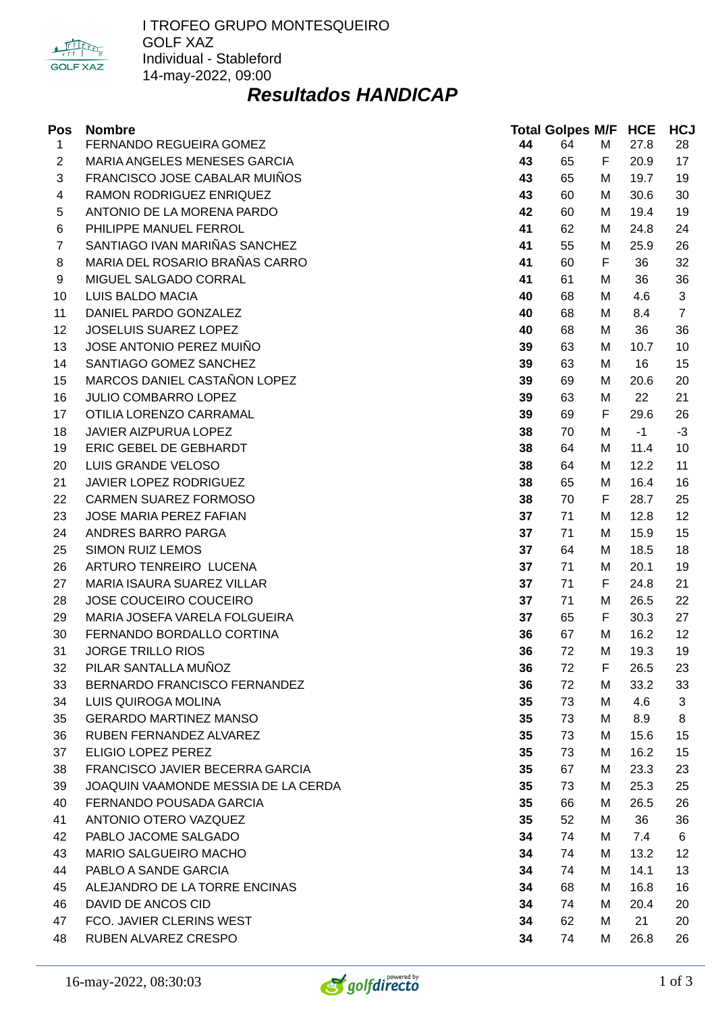

### *Resultados HANDICAP*

| Pos            | <b>Nombre</b>                       |    | <b>Total Golpes M/F HCE</b> |   |      | <b>HCJ</b>     |
|----------------|-------------------------------------|----|-----------------------------|---|------|----------------|
| $\mathbf{1}$   | FERNANDO REGUEIRA GOMEZ             | 44 | 64                          | М | 27.8 | 28             |
| $\overline{c}$ | MARIA ANGELES MENESES GARCIA        | 43 | 65                          | F | 20.9 | 17             |
| 3              | FRANCISCO JOSE CABALAR MUIÑOS       | 43 | 65                          | М | 19.7 | 19             |
| 4              | RAMON RODRIGUEZ ENRIQUEZ            | 43 | 60                          | М | 30.6 | 30             |
| 5              | ANTONIO DE LA MORENA PARDO          | 42 | 60                          | М | 19.4 | 19             |
| 6              | PHILIPPE MANUEL FERROL              | 41 | 62                          | М | 24.8 | 24             |
| $\overline{7}$ | SANTIAGO IVAN MARIÑAS SANCHEZ       | 41 | 55                          | М | 25.9 | 26             |
| 8              | MARIA DEL ROSARIO BRAÑAS CARRO      | 41 | 60                          | F | 36   | 32             |
| 9              | MIGUEL SALGADO CORRAL               | 41 | 61                          | М | 36   | 36             |
| 10             | LUIS BALDO MACIA                    | 40 | 68                          | М | 4.6  | 3              |
| 11             | DANIEL PARDO GONZALEZ               | 40 | 68                          | M | 8.4  | $\overline{7}$ |
| 12             | JOSELUIS SUAREZ LOPEZ               | 40 | 68                          | М | 36   | 36             |
| 13             | JOSE ANTONIO PEREZ MUIÑO            | 39 | 63                          | М | 10.7 | 10             |
| 14             | SANTIAGO GOMEZ SANCHEZ              | 39 | 63                          | М | 16   | 15             |
| 15             | MARCOS DANIEL CASTAÑON LOPEZ        | 39 | 69                          | М | 20.6 | 20             |
| 16             | JULIO COMBARRO LOPEZ                | 39 | 63                          | М | 22   | 21             |
| 17             | OTILIA LORENZO CARRAMAL             | 39 | 69                          | F | 29.6 | 26             |
| 18             | JAVIER AIZPURUA LOPEZ               | 38 | 70                          | М | $-1$ | $-3$           |
| 19             | ERIC GEBEL DE GEBHARDT              | 38 | 64                          | М | 11.4 | 10             |
| 20             | LUIS GRANDE VELOSO                  | 38 | 64                          | М | 12.2 | 11             |
| 21             | JAVIER LOPEZ RODRIGUEZ              | 38 | 65                          | м | 16.4 | 16             |
| 22             | CARMEN SUAREZ FORMOSO               | 38 | 70                          | F | 28.7 | 25             |
| 23             | JOSE MARIA PEREZ FAFIAN             | 37 | 71                          | М | 12.8 | 12             |
| 24             | ANDRES BARRO PARGA                  | 37 | 71                          | м | 15.9 | 15             |
| 25             | <b>SIMON RUIZ LEMOS</b>             | 37 | 64                          | М | 18.5 | 18             |
| 26             | ARTURO TENREIRO LUCENA              | 37 | 71                          | М | 20.1 | 19             |
| 27             | MARIA ISAURA SUAREZ VILLAR          | 37 | 71                          | F | 24.8 | 21             |
| 28             | JOSE COUCEIRO COUCEIRO              | 37 | 71                          | М | 26.5 | 22             |
| 29             | MARIA JOSEFA VARELA FOLGUEIRA       | 37 | 65                          | F | 30.3 | 27             |
| 30             | FERNANDO BORDALLO CORTINA           | 36 | 67                          | М | 16.2 | 12             |
| 31             | <b>JORGE TRILLO RIOS</b>            | 36 | 72                          | M | 19.3 | 19             |
| 32             | PILAR SANTALLA MUÑOZ                | 36 | 72                          | F | 26.5 | 23             |
| 33             | BERNARDO FRANCISCO FERNANDEZ        | 36 | 72                          | М | 33.2 | 33             |
| 34             | LUIS QUIROGA MOLINA                 | 35 | 73                          | М | 4.6  | 3              |
| 35             | <b>GERARDO MARTINEZ MANSO</b>       | 35 | 73                          | М | 8.9  | 8              |
| 36             | RUBEN FERNANDEZ ALVAREZ             | 35 | 73                          | М | 15.6 | 15             |
| 37             | ELIGIO LOPEZ PEREZ                  | 35 | 73                          | М | 16.2 | 15             |
| 38             | FRANCISCO JAVIER BECERRA GARCIA     | 35 | 67                          | М | 23.3 | 23             |
| 39             | JOAQUIN VAAMONDE MESSIA DE LA CERDA | 35 | 73                          | М | 25.3 | 25             |
| 40             | FERNANDO POUSADA GARCIA             | 35 | 66                          | М | 26.5 | 26             |
| 41             | ANTONIO OTERO VAZQUEZ               | 35 | 52                          | M | 36   | 36             |
| 42             | PABLO JACOME SALGADO                | 34 | 74                          | М | 7.4  | 6              |
| 43             | MARIO SALGUEIRO MACHO               | 34 | 74                          | М | 13.2 | 12             |
| 44             | PABLO A SANDE GARCIA                | 34 | 74                          | М | 14.1 | 13             |
| 45             | ALEJANDRO DE LA TORRE ENCINAS       | 34 | 68                          | М | 16.8 | 16             |
| 46             | DAVID DE ANCOS CID                  | 34 | 74                          | М | 20.4 | 20             |
| 47             | FCO. JAVIER CLERINS WEST            | 34 | 62                          | М | 21   | 20             |
| 48             | RUBEN ALVAREZ CRESPO                | 34 | 74                          | М | 26.8 | 26             |

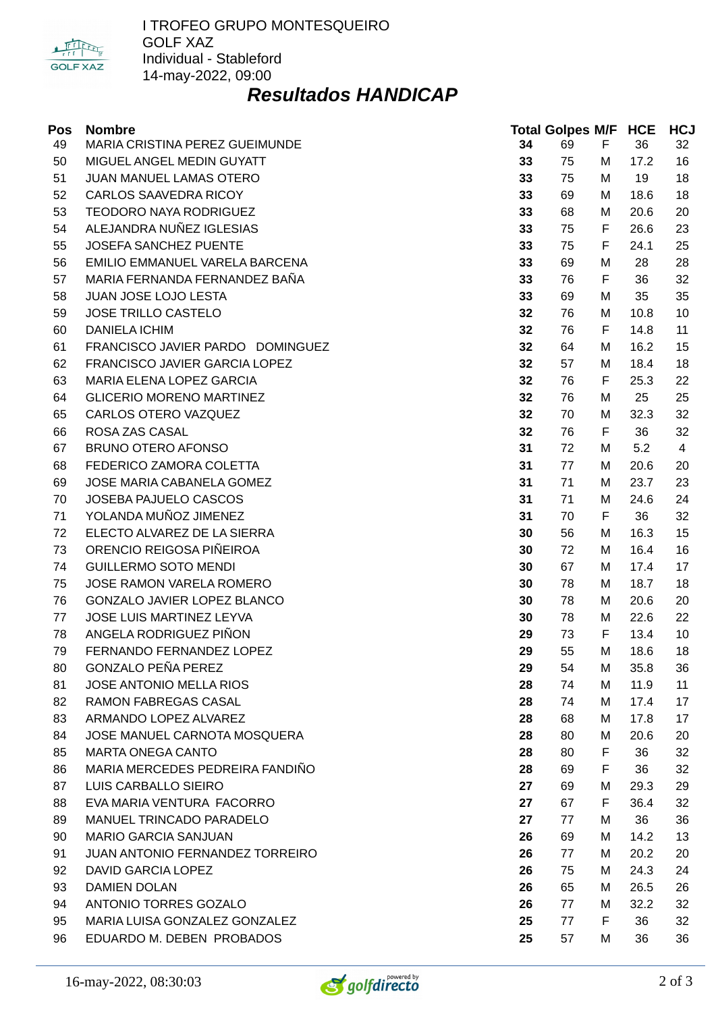

### *Resultados HANDICAP*

| Pos | <b>Nombre</b>                    |    | <b>Total Golpes M/F HCE</b> |   |      | <b>HCJ</b>     |
|-----|----------------------------------|----|-----------------------------|---|------|----------------|
| 49  | MARIA CRISTINA PEREZ GUEIMUNDE   | 34 | 69                          | F | 36   | 32             |
| 50  | MIGUEL ANGEL MEDIN GUYATT        | 33 | 75                          | м | 17.2 | 16             |
| 51  | JUAN MANUEL LAMAS OTERO          | 33 | 75                          | M | 19   | 18             |
| 52  | <b>CARLOS SAAVEDRA RICOY</b>     | 33 | 69                          | M | 18.6 | 18             |
| 53  | <b>TEODORO NAYA RODRIGUEZ</b>    | 33 | 68                          | M | 20.6 | 20             |
| 54  | ALEJANDRA NUÑEZ IGLESIAS         | 33 | 75                          | F | 26.6 | 23             |
| 55  | JOSEFA SANCHEZ PUENTE            | 33 | 75                          | F | 24.1 | 25             |
| 56  | EMILIO EMMANUEL VARELA BARCENA   | 33 | 69                          | M | 28   | 28             |
| 57  | MARIA FERNANDA FERNANDEZ BAÑA    | 33 | 76                          | F | 36   | 32             |
| 58  | JUAN JOSE LOJO LESTA             | 33 | 69                          | M | 35   | 35             |
| 59  | <b>JOSE TRILLO CASTELO</b>       | 32 | 76                          | M | 10.8 | 10             |
| 60  | <b>DANIELA ICHIM</b>             | 32 | 76                          | F | 14.8 | 11             |
| 61  | FRANCISCO JAVIER PARDO DOMINGUEZ | 32 | 64                          | M | 16.2 | 15             |
| 62  | FRANCISCO JAVIER GARCIA LOPEZ    | 32 | 57                          | М | 18.4 | 18             |
| 63  | MARIA ELENA LOPEZ GARCIA         | 32 | 76                          | F | 25.3 | 22             |
| 64  | <b>GLICERIO MORENO MARTINEZ</b>  | 32 | 76                          | M | 25   | 25             |
| 65  | CARLOS OTERO VAZQUEZ             | 32 | 70                          | M | 32.3 | 32             |
| 66  | ROSA ZAS CASAL                   | 32 | 76                          | F | 36   | 32             |
| 67  | <b>BRUNO OTERO AFONSO</b>        | 31 | 72                          | M | 5.2  | $\overline{4}$ |
| 68  | FEDERICO ZAMORA COLETTA          | 31 | 77                          | M | 20.6 | 20             |
| 69  | JOSE MARIA CABANELA GOMEZ        | 31 | 71                          | M | 23.7 | 23             |
| 70  | JOSEBA PAJUELO CASCOS            | 31 | 71                          | M | 24.6 | 24             |
| 71  | YOLANDA MUÑOZ JIMENEZ            | 31 | 70                          | F | 36   | 32             |
| 72  | ELECTO ALVAREZ DE LA SIERRA      | 30 | 56                          | M | 16.3 | 15             |
| 73  | ORENCIO REIGOSA PIÑEIROA         | 30 | 72                          | М | 16.4 | 16             |
| 74  | <b>GUILLERMO SOTO MENDI</b>      | 30 | 67                          | м | 17.4 | 17             |
| 75  | JOSE RAMON VARELA ROMERO         | 30 | 78                          | M | 18.7 | 18             |
| 76  | GONZALO JAVIER LOPEZ BLANCO      | 30 | 78                          | M | 20.6 | 20             |
| 77  | JOSE LUIS MARTINEZ LEYVA         | 30 | 78                          | M | 22.6 | 22             |
| 78  | ANGELA RODRIGUEZ PIÑON           | 29 | 73                          | F | 13.4 | 10             |
| 79  | FERNANDO FERNANDEZ LOPEZ         | 29 | 55                          | M | 18.6 | 18             |
| 80  | <b>GONZALO PEÑA PEREZ</b>        | 29 | 54                          | M | 35.8 | 36             |
| 81  | <b>JOSE ANTONIO MELLA RIOS</b>   | 28 | 74                          | М | 11.9 | 11             |
| 82  | <b>RAMON FABREGAS CASAL</b>      | 28 | 74                          | м | 17.4 | 17             |
| 83  | ARMANDO LOPEZ ALVAREZ            | 28 | 68                          | М | 17.8 | 17             |
| 84  | JOSE MANUEL CARNOTA MOSQUERA     | 28 | 80                          | M | 20.6 | 20             |
| 85  | <b>MARTA ONEGA CANTO</b>         | 28 | 80                          | F | 36   | 32             |
| 86  | MARIA MERCEDES PEDREIRA FANDIÑO  | 28 | 69                          | F | 36   | 32             |
| 87  | LUIS CARBALLO SIEIRO             | 27 | 69                          | M | 29.3 | 29             |
| 88  | EVA MARIA VENTURA FACORRO        | 27 | 67                          | F | 36.4 | 32             |
| 89  | MANUEL TRINCADO PARADELO         | 27 | 77                          | M | 36   | 36             |
| 90  | <b>MARIO GARCIA SANJUAN</b>      | 26 | 69                          | м | 14.2 | 13             |
| 91  | JUAN ANTONIO FERNANDEZ TORREIRO  | 26 | 77                          | M | 20.2 | 20             |
| 92  | <b>DAVID GARCIA LOPEZ</b>        | 26 | 75                          | М | 24.3 | 24             |
| 93  | <b>DAMIEN DOLAN</b>              | 26 | 65                          | м | 26.5 | 26             |
| 94  | ANTONIO TORRES GOZALO            | 26 | 77                          | M | 32.2 | 32             |
| 95  | MARIA LUISA GONZALEZ GONZALEZ    | 25 | 77                          | F | 36   | 32             |
| 96  | EDUARDO M. DEBEN PROBADOS        | 25 | 57                          | M | 36   | 36             |

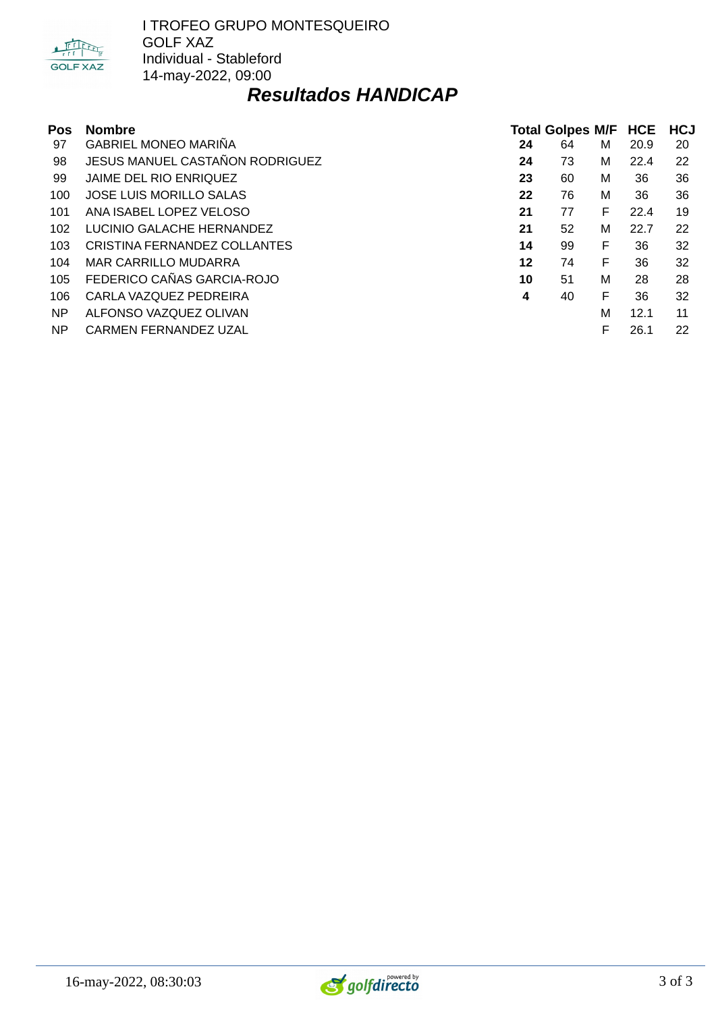

### *Resultados HANDICAP*

| <b>Pos</b> | <b>Nombre</b>                          | <b>Total Golpes M/F</b> |    |   | <b>HCE</b> | <b>HCJ</b> |  |
|------------|----------------------------------------|-------------------------|----|---|------------|------------|--|
| 97         | <b>GABRIEL MONEO MARIÑA</b>            | 24                      | 64 | м | 20.9       | 20         |  |
| 98         | <b>JESUS MANUEL CASTAÑON RODRIGUEZ</b> | 24                      | 73 | М | 22.4       | 22         |  |
| 99         | JAIME DEL RIO ENRIQUEZ                 | 23                      | 60 | М | 36         | 36         |  |
| 100        | <b>JOSE LUIS MORILLO SALAS</b>         | 22                      | 76 | M | 36         | 36         |  |
| 101        | ANA ISABEL LOPEZ VELOSO                | 21                      | 77 | F | 22.4       | 19         |  |
| 102        | LUCINIO GALACHE HERNANDEZ              | 21                      | 52 | М | 22.7       | 22         |  |
| 103        | CRISTINA FERNANDEZ COLLANTES           | 14                      | 99 | F | 36         | 32         |  |
| 104        | MAR CARRILLO MUDARRA                   | 12                      | 74 | F | 36         | 32         |  |
| 105        | FEDERICO CAÑAS GARCIA-ROJO             | 10                      | 51 | М | 28         | 28         |  |
| 106        | CARLA VAZQUEZ PEDREIRA                 | 4                       | 40 | F | 36         | 32         |  |
| NP         | ALFONSO VAZQUEZ OLIVAN                 |                         |    | M | 12.1       | 11         |  |
| NP.        | <b>CARMEN FERNANDEZ UZAL</b>           |                         |    | F | 26.1       | 22         |  |

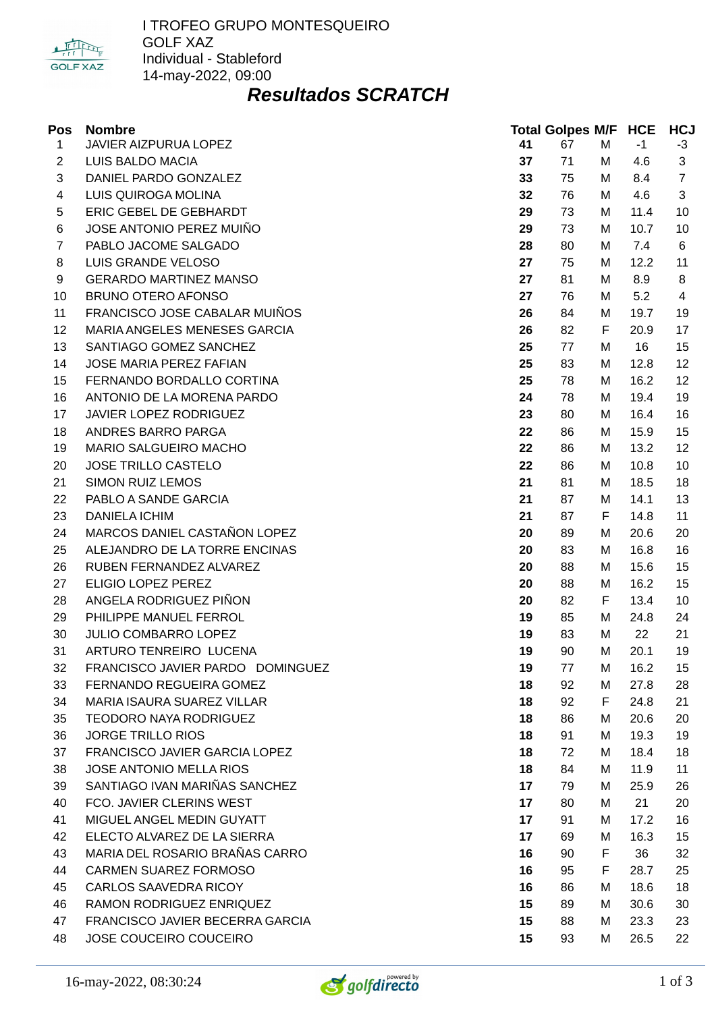

# *Resultados SCRATCH*

| Pos            | <b>Nombre</b>                     |    | <b>Total Golpes M/F HCE</b> |   |      | <b>HCJ</b>     |
|----------------|-----------------------------------|----|-----------------------------|---|------|----------------|
| $\mathbf{1}$   | JAVIER AIZPURUA LOPEZ             | 41 | 67                          | М | $-1$ | $-3$           |
| $\overline{c}$ | LUIS BALDO MACIA                  | 37 | 71                          | М | 4.6  | 3              |
| 3              | DANIEL PARDO GONZALEZ             | 33 | 75                          | М | 8.4  | $\overline{7}$ |
| 4              | LUIS QUIROGA MOLINA               | 32 | 76                          | М | 4.6  | 3              |
| 5              | ERIC GEBEL DE GEBHARDT            | 29 | 73                          | М | 11.4 | 10             |
| 6              | JOSE ANTONIO PEREZ MUIÑO          | 29 | 73                          | М | 10.7 | 10             |
| $\overline{7}$ | PABLO JACOME SALGADO              | 28 | 80                          | М | 7.4  | 6              |
| 8              | <b>LUIS GRANDE VELOSO</b>         | 27 | 75                          | М | 12.2 | 11             |
| 9              | <b>GERARDO MARTINEZ MANSO</b>     | 27 | 81                          | М | 8.9  | 8              |
| 10             | <b>BRUNO OTERO AFONSO</b>         | 27 | 76                          | М | 5.2  | 4              |
| 11             | FRANCISCO JOSE CABALAR MUIÑOS     | 26 | 84                          | М | 19.7 | 19             |
| 12             | MARIA ANGELES MENESES GARCIA      | 26 | 82                          | F | 20.9 | 17             |
| 13             | SANTIAGO GOMEZ SANCHEZ            | 25 | 77                          | М | 16   | 15             |
| 14             | <b>JOSE MARIA PEREZ FAFIAN</b>    | 25 | 83                          | М | 12.8 | 12             |
| 15             | FERNANDO BORDALLO CORTINA         | 25 | 78                          | М | 16.2 | 12             |
| 16             | ANTONIO DE LA MORENA PARDO        | 24 | 78                          | М | 19.4 | 19             |
| 17             | JAVIER LOPEZ RODRIGUEZ            | 23 | 80                          | M | 16.4 | 16             |
| 18             | ANDRES BARRO PARGA                | 22 | 86                          | М | 15.9 | 15             |
| 19             | MARIO SALGUEIRO MACHO             | 22 | 86                          | М | 13.2 | 12             |
| 20             | <b>JOSE TRILLO CASTELO</b>        | 22 | 86                          | М | 10.8 | 10             |
| 21             | <b>SIMON RUIZ LEMOS</b>           | 21 | 81                          | м | 18.5 | 18             |
| 22             | PABLO A SANDE GARCIA              | 21 | 87                          | М | 14.1 | 13             |
| 23             | <b>DANIELA ICHIM</b>              | 21 | 87                          | F | 14.8 | 11             |
| 24             | MARCOS DANIEL CASTAÑON LOPEZ      | 20 | 89                          | М | 20.6 | 20             |
| 25             | ALEJANDRO DE LA TORRE ENCINAS     | 20 | 83                          | М | 16.8 | 16             |
| 26             | RUBEN FERNANDEZ ALVAREZ           | 20 | 88                          | М | 15.6 | 15             |
| 27             | ELIGIO LOPEZ PEREZ                | 20 | 88                          | М | 16.2 | 15             |
| 28             | ANGELA RODRIGUEZ PIÑON            | 20 | 82                          | F | 13.4 | 10             |
| 29             | PHILIPPE MANUEL FERROL            | 19 | 85                          | M | 24.8 | 24             |
| 30             | JULIO COMBARRO LOPEZ              | 19 | 83                          | М | 22   | 21             |
| 31             | ARTURO TENREIRO LUCENA            | 19 | 90                          | M | 20.1 | 19             |
| 32             | FRANCISCO JAVIER PARDO DOMINGUEZ  | 19 | 77                          | M | 16.2 | 15             |
| 33             | FERNANDO REGUEIRA GOMEZ           | 18 | 92                          | M | 27.8 | 28             |
| 34             | <b>MARIA ISAURA SUAREZ VILLAR</b> | 18 | 92                          | F | 24.8 | 21             |
| 35             | TEODORO NAYA RODRIGUEZ            | 18 | 86                          | М | 20.6 | 20             |
| 36             | <b>JORGE TRILLO RIOS</b>          | 18 | 91                          | М | 19.3 | 19             |
| 37             | FRANCISCO JAVIER GARCIA LOPEZ     | 18 | 72                          | М | 18.4 | 18             |
| 38             | JOSE ANTONIO MELLA RIOS           | 18 | 84                          | М | 11.9 | 11             |
| 39             | SANTIAGO IVAN MARIÑAS SANCHEZ     | 17 | 79                          | М | 25.9 | 26             |
| 40             | FCO. JAVIER CLERINS WEST          | 17 | 80                          | М | 21   | 20             |
| 41             | MIGUEL ANGEL MEDIN GUYATT         | 17 | 91                          | М | 17.2 | 16             |
| 42             | ELECTO ALVAREZ DE LA SIERRA       | 17 | 69                          | М | 16.3 | 15             |
| 43             | MARIA DEL ROSARIO BRAÑAS CARRO    | 16 | 90                          | F | 36   | 32             |
| 44             | CARMEN SUAREZ FORMOSO             | 16 | 95                          | F | 28.7 | 25             |
| 45             | CARLOS SAAVEDRA RICOY             | 16 | 86                          | М | 18.6 | 18             |
| 46             | RAMON RODRIGUEZ ENRIQUEZ          | 15 | 89                          | М | 30.6 | 30             |
| 47             | FRANCISCO JAVIER BECERRA GARCIA   | 15 | 88                          | М | 23.3 | 23             |
| 48             | JOSE COUCEIRO COUCEIRO            | 15 | 93                          | М | 26.5 | 22             |

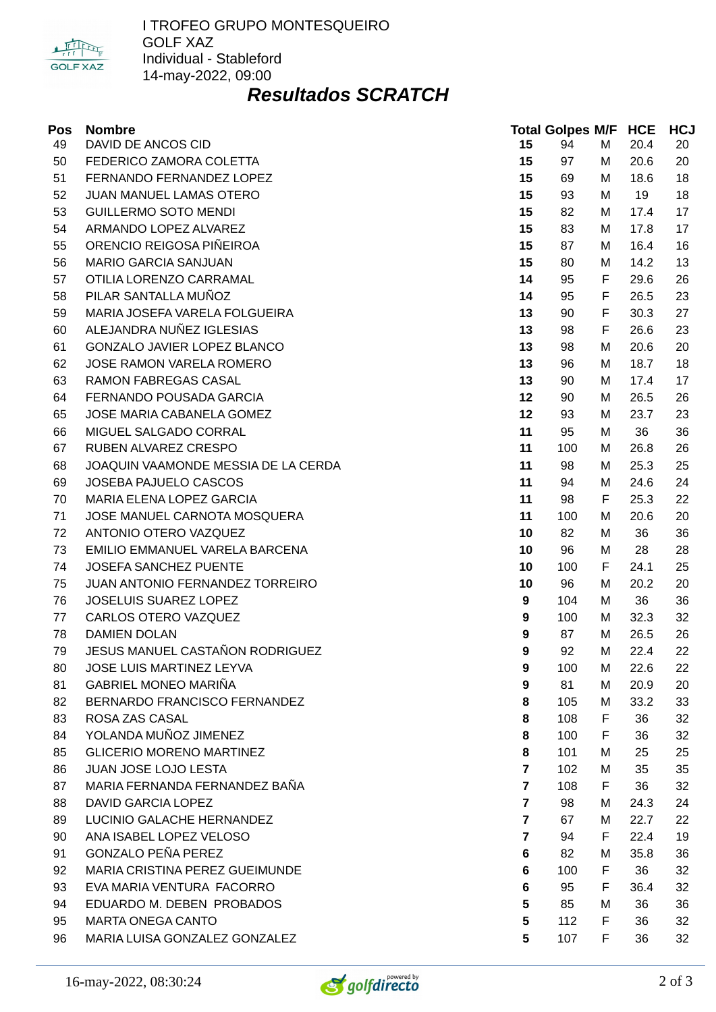

# *Resultados SCRATCH*

| Pos | <b>Nombre</b>                       |                         | <b>Total Golpes M/F HCE</b> |   |      | <b>HCJ</b> |
|-----|-------------------------------------|-------------------------|-----------------------------|---|------|------------|
| 49  | DAVID DE ANCOS CID                  | 15                      | 94                          | M | 20.4 | 20         |
| 50  | FEDERICO ZAMORA COLETTA             | 15                      | 97                          | М | 20.6 | 20         |
| 51  | FERNANDO FERNANDEZ LOPEZ            | 15                      | 69                          | М | 18.6 | 18         |
| 52  | JUAN MANUEL LAMAS OTERO             | 15                      | 93                          | М | 19   | 18         |
| 53  | <b>GUILLERMO SOTO MENDI</b>         | 15                      | 82                          | М | 17.4 | 17         |
| 54  | ARMANDO LOPEZ ALVAREZ               | 15                      | 83                          | М | 17.8 | 17         |
| 55  | ORENCIO REIGOSA PIÑEIROA            | 15                      | 87                          | М | 16.4 | 16         |
| 56  | <b>MARIO GARCIA SANJUAN</b>         | 15                      | 80                          | М | 14.2 | 13         |
| 57  | OTILIA LORENZO CARRAMAL             | 14                      | 95                          | F | 29.6 | 26         |
| 58  | PILAR SANTALLA MUÑOZ                | 14                      | 95                          | F | 26.5 | 23         |
| 59  | MARIA JOSEFA VARELA FOLGUEIRA       | 13                      | 90                          | F | 30.3 | 27         |
| 60  | ALEJANDRA NUÑEZ IGLESIAS            | 13                      | 98                          | F | 26.6 | 23         |
| 61  | GONZALO JAVIER LOPEZ BLANCO         | 13                      | 98                          | М | 20.6 | 20         |
| 62  | JOSE RAMON VARELA ROMERO            | 13                      | 96                          | М | 18.7 | 18         |
| 63  | RAMON FABREGAS CASAL                | 13                      | 90                          | М | 17.4 | 17         |
| 64  | FERNANDO POUSADA GARCIA             | 12                      | 90                          | М | 26.5 | 26         |
| 65  | JOSE MARIA CABANELA GOMEZ           | 12                      | 93                          | М | 23.7 | 23         |
| 66  | MIGUEL SALGADO CORRAL               | 11                      | 95                          | М | 36   | 36         |
| 67  | RUBEN ALVAREZ CRESPO                | 11                      | 100                         | М | 26.8 | 26         |
| 68  | JOAQUIN VAAMONDE MESSIA DE LA CERDA | 11                      | 98                          | М | 25.3 | 25         |
| 69  | JOSEBA PAJUELO CASCOS               | 11                      | 94                          | М | 24.6 | 24         |
| 70  | MARIA ELENA LOPEZ GARCIA            | 11                      | 98                          | F | 25.3 | 22         |
| 71  | JOSE MANUEL CARNOTA MOSQUERA        | 11                      | 100                         | M | 20.6 | 20         |
| 72  | ANTONIO OTERO VAZQUEZ               | 10                      | 82                          | М | 36   | 36         |
| 73  | EMILIO EMMANUEL VARELA BARCENA      | 10                      | 96                          | М | 28   | 28         |
| 74  | JOSEFA SANCHEZ PUENTE               | 10                      | 100                         | F | 24.1 | 25         |
| 75  | JUAN ANTONIO FERNANDEZ TORREIRO     | 10                      | 96                          | М | 20.2 | 20         |
| 76  | JOSELUIS SUAREZ LOPEZ               | 9                       | 104                         | М | 36   | 36         |
| 77  | CARLOS OTERO VAZQUEZ                | 9                       | 100                         | М | 32.3 | 32         |
| 78  | <b>DAMIEN DOLAN</b>                 | 9                       | 87                          | М | 26.5 | 26         |
| 79  | JESUS MANUEL CASTAÑON RODRIGUEZ     | 9                       | 92                          | М | 22.4 | 22         |
| 80  | <b>JOSE LUIS MARTINEZ LEYVA</b>     | 9                       | 100                         | М | 22.6 | 22         |
| 81  | <b>GABRIEL MONEO MARIÑA</b>         | 9                       | 81                          | М | 20.9 | 20         |
| 82  | BERNARDO FRANCISCO FERNANDEZ        | 8                       | 105                         | М | 33.2 | 33         |
| 83  | ROSA ZAS CASAL                      | 8                       | 108                         | F | 36   | 32         |
| 84  | YOLANDA MUÑOZ JIMENEZ               | 8                       | 100                         | F | 36   | 32         |
| 85  | <b>GLICERIO MORENO MARTINEZ</b>     | 8                       | 101                         | М | 25   | 25         |
| 86  | JUAN JOSE LOJO LESTA                | $\overline{\mathbf{z}}$ | 102                         | М | 35   | 35         |
| 87  | MARIA FERNANDA FERNANDEZ BAÑA       | $\overline{7}$          | 108                         | F | 36   | 32         |
| 88  | <b>DAVID GARCIA LOPEZ</b>           | $\overline{7}$          | 98                          | М | 24.3 | 24         |
| 89  | LUCINIO GALACHE HERNANDEZ           | $\overline{7}$          | 67                          | М | 22.7 | 22         |
| 90  | ANA ISABEL LOPEZ VELOSO             | $\overline{7}$          | 94                          | F | 22.4 | 19         |
| 91  | <b>GONZALO PEÑA PEREZ</b>           | 6                       | 82                          | М | 35.8 | 36         |
| 92  | MARIA CRISTINA PEREZ GUEIMUNDE      | 6                       | 100                         | F | 36   | 32         |
| 93  | EVA MARIA VENTURA FACORRO           | 6                       | 95                          | F | 36.4 | 32         |
| 94  | EDUARDO M. DEBEN PROBADOS           | 5                       | 85                          | м | 36   | 36         |
| 95  | <b>MARTA ONEGA CANTO</b>            | 5                       | 112                         | F | 36   | 32         |
| 96  | MARIA LUISA GONZALEZ GONZALEZ       | 5                       | 107                         | F | 36   | 32         |

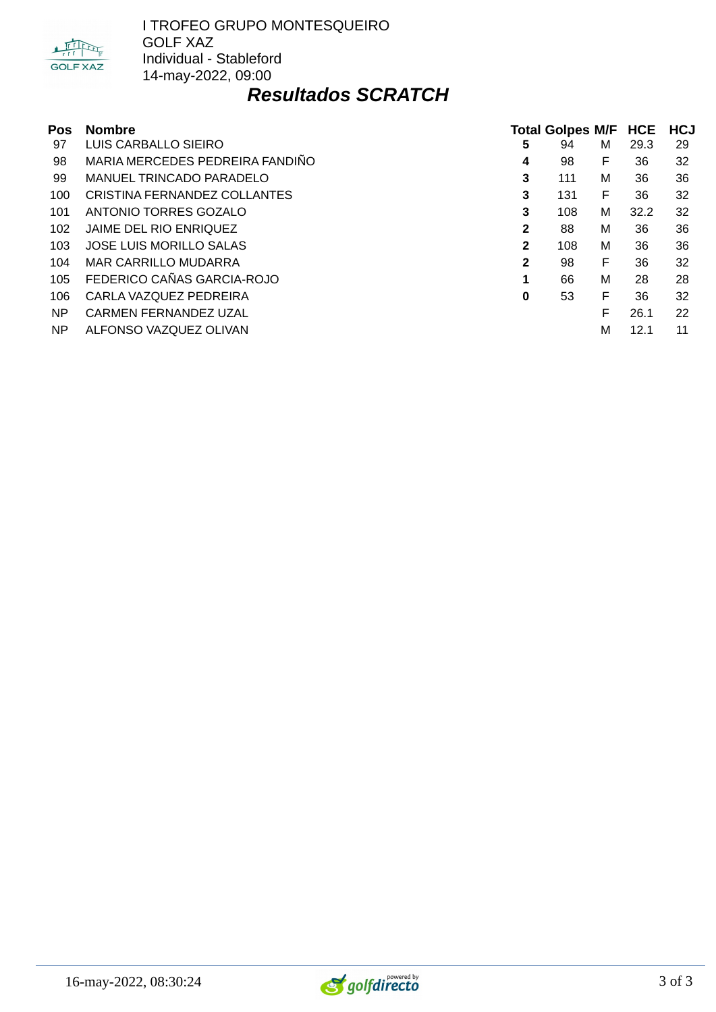

# *Resultados SCRATCH*

| Pos | <b>Nombre</b>                   | <b>Total Golpes M/F HCE</b> |     |   |      | <b>HCJ</b> |  |
|-----|---------------------------------|-----------------------------|-----|---|------|------------|--|
| 97  | LUIS CARBALLO SIEIRO            | 5                           | 94  | м | 29.3 | 29         |  |
| 98  | MARIA MERCEDES PEDREIRA FANDIÑO | 4                           | 98  | F | 36   | 32         |  |
| 99  | <b>MANUEL TRINCADO PARADELO</b> | 3                           | 111 | м | 36   | 36         |  |
| 100 | CRISTINA FERNANDEZ COLLANTES    | 3                           | 131 | F | 36   | 32         |  |
| 101 | ANTONIO TORRES GOZALO           | 3                           | 108 | M | 32.2 | 32         |  |
| 102 | JAIME DEL RIO ENRIQUEZ          | 2                           | 88  | м | 36   | 36         |  |
| 103 | <b>JOSE LUIS MORILLO SALAS</b>  | $\mathbf{2}$                | 108 | м | 36   | 36         |  |
| 104 | <b>MAR CARRILLO MUDARRA</b>     | 2                           | 98  | F | 36   | 32         |  |
| 105 | FEDERICO CAÑAS GARCIA-ROJO      | 1                           | 66  | м | 28   | 28         |  |
| 106 | CARLA VAZQUEZ PEDREIRA          | 0                           | 53  | F | 36   | 32         |  |
| NP. | <b>CARMEN FERNANDEZ UZAL</b>    |                             |     | F | 26.1 | 22         |  |
| NP  | ALFONSO VAZQUEZ OLIVAN          |                             |     | М | 12.1 | 11         |  |

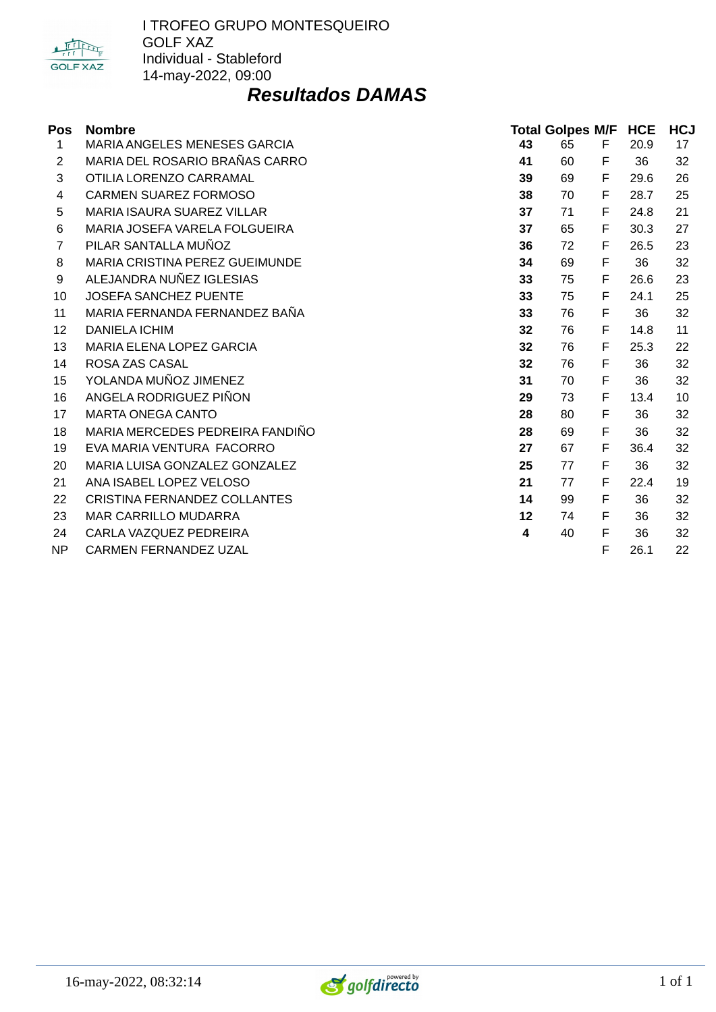

#### *Resultados DAMAS*

| Pos            | <b>Nombre</b>                       | <b>Total Golpes M/F</b> |    | <b>HCE</b> | <b>HCJ</b> |    |
|----------------|-------------------------------------|-------------------------|----|------------|------------|----|
| 1              | <b>MARIA ANGELES MENESES GARCIA</b> | 43                      | 65 | F.         | 20.9       | 17 |
| $\overline{2}$ | MARIA DEL ROSARIO BRAÑAS CARRO      | 41                      | 60 | F          | 36         | 32 |
| 3              | OTILIA LORENZO CARRAMAL             | 39                      | 69 | F          | 29.6       | 26 |
| 4              | <b>CARMEN SUAREZ FORMOSO</b>        | 38                      | 70 | F          | 28.7       | 25 |
| 5              | <b>MARIA ISAURA SUAREZ VILLAR</b>   | 37                      | 71 | F          | 24.8       | 21 |
| 6              | MARIA JOSEFA VARELA FOLGUEIRA       | 37                      | 65 | F          | 30.3       | 27 |
| $\overline{7}$ | PILAR SANTALLA MUÑOZ                | 36                      | 72 | F          | 26.5       | 23 |
| 8              | MARIA CRISTINA PEREZ GUEIMUNDE      | 34                      | 69 | F          | 36         | 32 |
| 9              | ALEJANDRA NUÑEZ IGLESIAS            | 33                      | 75 | F          | 26.6       | 23 |
| 10             | <b>JOSEFA SANCHEZ PUENTE</b>        | 33                      | 75 | F          | 24.1       | 25 |
| 11             | MARIA FERNANDA FERNANDEZ BAÑA       | 33                      | 76 | F          | 36         | 32 |
| 12             | <b>DANIELA ICHIM</b>                | 32                      | 76 | F          | 14.8       | 11 |
| 13             | <b>MARIA ELENA LOPEZ GARCIA</b>     | 32                      | 76 | F          | 25.3       | 22 |
| 14             | ROSA ZAS CASAL                      | 32                      | 76 | F          | 36         | 32 |
| 15             | YOLANDA MUÑOZ JIMENEZ               | 31                      | 70 | F          | 36         | 32 |
| 16             | ANGELA RODRIGUEZ PIÑON              | 29                      | 73 | F          | 13.4       | 10 |
| 17             | <b>MARTA ONEGA CANTO</b>            | 28                      | 80 | F          | 36         | 32 |
| 18             | MARIA MERCEDES PEDREIRA FANDIÑO     | 28                      | 69 | F          | 36         | 32 |
| 19             | EVA MARIA VENTURA FACORRO           | 27                      | 67 | F          | 36.4       | 32 |
| 20             | MARIA LUISA GONZALEZ GONZALEZ       | 25                      | 77 | F          | 36         | 32 |
| 21             | ANA ISABEL LOPEZ VELOSO             | 21                      | 77 | F          | 22.4       | 19 |
| 22             | <b>CRISTINA FERNANDEZ COLLANTES</b> | 14                      | 99 | F          | 36         | 32 |
| 23             | <b>MAR CARRILLO MUDARRA</b>         | 12                      | 74 | F          | 36         | 32 |
| 24             | CARLA VAZQUEZ PEDREIRA              | 4                       | 40 | F          | 36         | 32 |
| <b>NP</b>      | CARMEN FERNANDEZ UZAL               |                         |    | F          | 26.1       | 22 |

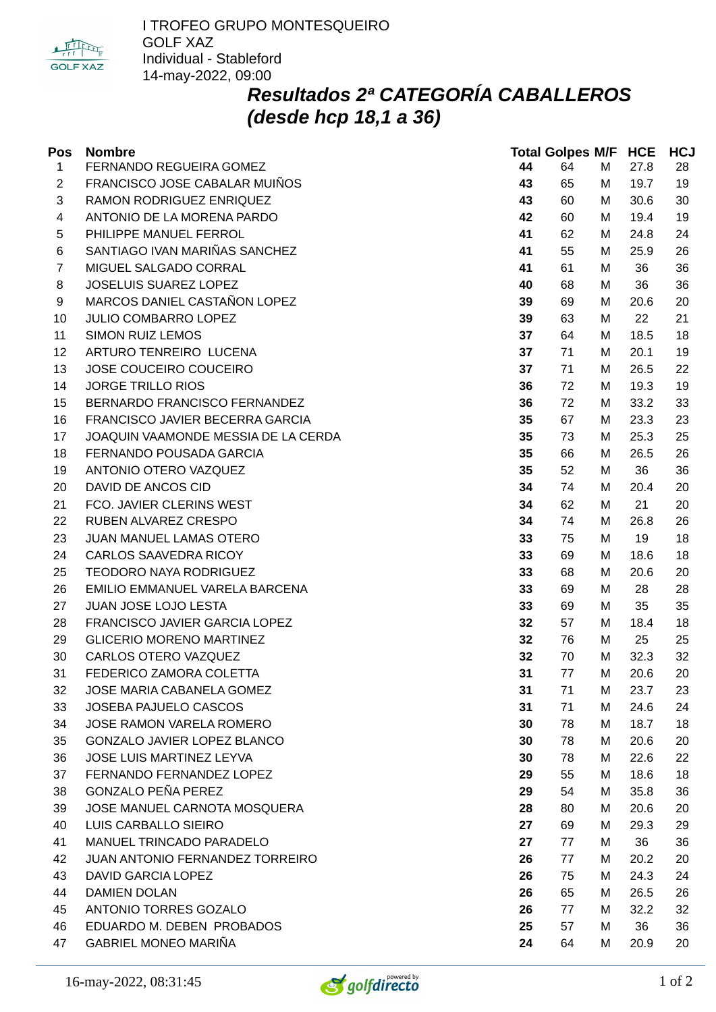

# *Resultados 2ª CATEGORÍA CABALLEROS (desde hcp 18,1 a 36)*

| Pos            | <b>Nombre</b>                       |    | <b>Total Golpes M/F HCE</b> |   |      | <b>HCJ</b> |
|----------------|-------------------------------------|----|-----------------------------|---|------|------------|
| $\mathbf{1}$   | FERNANDO REGUEIRA GOMEZ             | 44 | 64                          | M | 27.8 | 28         |
| $\overline{c}$ | FRANCISCO JOSE CABALAR MUIÑOS       | 43 | 65                          | М | 19.7 | 19         |
| 3              | RAMON RODRIGUEZ ENRIQUEZ            | 43 | 60                          | М | 30.6 | 30         |
| 4              | ANTONIO DE LA MORENA PARDO          | 42 | 60                          | М | 19.4 | 19         |
| 5              | PHILIPPE MANUEL FERROL              | 41 | 62                          | М | 24.8 | 24         |
| 6              | SANTIAGO IVAN MARIÑAS SANCHEZ       | 41 | 55                          | M | 25.9 | 26         |
| $\overline{7}$ | MIGUEL SALGADO CORRAL               | 41 | 61                          | М | 36   | 36         |
| 8              | JOSELUIS SUAREZ LOPEZ               | 40 | 68                          | М | 36   | 36         |
| 9              | MARCOS DANIEL CASTAÑON LOPEZ        | 39 | 69                          | М | 20.6 | 20         |
| 10             | <b>JULIO COMBARRO LOPEZ</b>         | 39 | 63                          | M | 22   | 21         |
| 11             | <b>SIMON RUIZ LEMOS</b>             | 37 | 64                          | М | 18.5 | 18         |
| 12             | ARTURO TENREIRO LUCENA              | 37 | 71                          | М | 20.1 | 19         |
| 13             | JOSE COUCEIRO COUCEIRO              | 37 | 71                          | М | 26.5 | 22         |
| 14             | <b>JORGE TRILLO RIOS</b>            | 36 | 72                          | М | 19.3 | 19         |
| 15             | BERNARDO FRANCISCO FERNANDEZ        | 36 | 72                          | М | 33.2 | 33         |
| 16             | FRANCISCO JAVIER BECERRA GARCIA     | 35 | 67                          | М | 23.3 | 23         |
| 17             | JOAQUIN VAAMONDE MESSIA DE LA CERDA | 35 | 73                          | М | 25.3 | 25         |
| 18             | FERNANDO POUSADA GARCIA             | 35 | 66                          | М | 26.5 | 26         |
| 19             | ANTONIO OTERO VAZQUEZ               | 35 | 52                          | M | 36   | 36         |
| 20             | DAVID DE ANCOS CID                  | 34 | 74                          | М | 20.4 | 20         |
| 21             | FCO. JAVIER CLERINS WEST            | 34 | 62                          | М | 21   | 20         |
| 22             | RUBEN ALVAREZ CRESPO                | 34 | 74                          | M | 26.8 | 26         |
| 23             | JUAN MANUEL LAMAS OTERO             | 33 | 75                          | М | 19   | 18         |
| 24             | <b>CARLOS SAAVEDRA RICOY</b>        | 33 | 69                          | М | 18.6 | 18         |
| 25             | <b>TEODORO NAYA RODRIGUEZ</b>       | 33 | 68                          | М | 20.6 | 20         |
| 26             | EMILIO EMMANUEL VARELA BARCENA      | 33 | 69                          | М | 28   | 28         |
| 27             | JUAN JOSE LOJO LESTA                | 33 | 69                          | М | 35   | 35         |
| 28             | FRANCISCO JAVIER GARCIA LOPEZ       | 32 | 57                          | M | 18.4 | 18         |
| 29             | <b>GLICERIO MORENO MARTINEZ</b>     | 32 | 76                          | М | 25   | 25         |
| 30             | CARLOS OTERO VAZQUEZ                | 32 | 70                          | М | 32.3 | 32         |
| 31             | FEDERICO ZAMORA COLETTA             | 31 | 77                          | M | 20.6 | 20         |
| 32             | JOSE MARIA CABANELA GOMEZ           | 31 | 71                          | М | 23.7 | 23         |
| 33             | JOSEBA PAJUELO CASCOS               | 31 | 71                          | М | 24.6 | 24         |
| 34             | JOSE RAMON VARELA ROMERO            | 30 | 78                          | М | 18.7 | 18         |
| 35             | GONZALO JAVIER LOPEZ BLANCO         | 30 | 78                          | М | 20.6 | 20         |
| 36             | JOSE LUIS MARTINEZ LEYVA            | 30 | 78                          | М | 22.6 | 22         |
| 37             | FERNANDO FERNANDEZ LOPEZ            | 29 | 55                          | М | 18.6 | 18         |
| 38             | <b>GONZALO PEÑA PEREZ</b>           | 29 | 54                          | М | 35.8 | 36         |
| 39             | JOSE MANUEL CARNOTA MOSQUERA        | 28 | 80                          | М | 20.6 | 20         |
| 40             | LUIS CARBALLO SIEIRO                | 27 | 69                          | М | 29.3 | 29         |
| 41             | MANUEL TRINCADO PARADELO            | 27 | 77                          | М | 36   | 36         |
| 42             | JUAN ANTONIO FERNANDEZ TORREIRO     | 26 | 77                          | М | 20.2 | 20         |
| 43             | <b>DAVID GARCIA LOPEZ</b>           | 26 | 75                          | М | 24.3 | 24         |
| 44             | <b>DAMIEN DOLAN</b>                 | 26 | 65                          | М | 26.5 | 26         |
| 45             | ANTONIO TORRES GOZALO               | 26 | 77                          | М | 32.2 | 32         |
| 46             | EDUARDO M. DEBEN PROBADOS           | 25 | 57                          | М | 36   | 36         |
| 47             | <b>GABRIEL MONEO MARIÑA</b>         | 24 | 64                          | М | 20.9 | 20         |

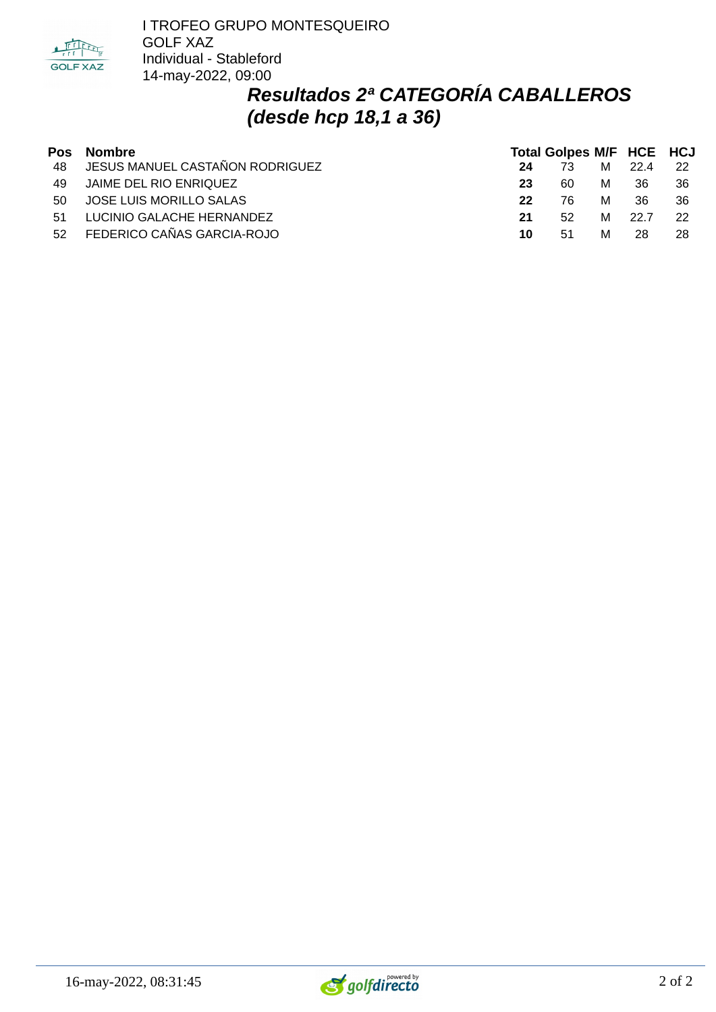

# *Resultados 2ª CATEGORÍA CABALLEROS (desde hcp 18,1 a 36)*

|    | Pos Nombre                         | <b>Total Golpes M/F HCE HCJ</b> |    |   |      |      |  |
|----|------------------------------------|---------------------------------|----|---|------|------|--|
|    | 48 JESUS MANUEL CASTAÑON RODRIGUEZ | 24                              | 73 | M | 22.4 | 22   |  |
|    | 49 JAIME DEL RIO ENRIQUEZ          | 23                              | 60 | M | 36   | - 36 |  |
|    | 50 JOSE LUIS MORILLO SALAS         | 22                              | 76 | м | 36.  | - 36 |  |
| 51 | LUCINIO GALACHE HERNANDEZ          | 21                              | 52 | м | 22.7 | - 22 |  |
|    | 52 FEDERICO CAÑAS GARCIA-ROJO      | 10                              | 51 | м | 28.  | 28   |  |